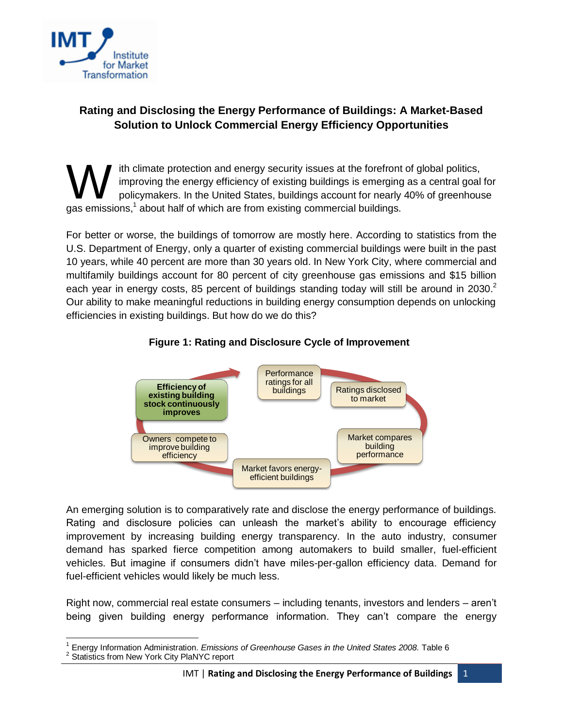

## **Rating and Disclosing the Energy Performance of Buildings: A Market-Based Solution to Unlock Commercial Energy Efficiency Opportunities**

ith climate protection and energy security issues at the forefront of global politics, improving the energy efficiency of existing buildings is emerging as a central goal for policymakers. In the United States, buildings account for nearly 40% of greenhouse Ith climate protection and energy security issues at the forefront<br>
improving the energy efficiency of existing buildings is emerging<br>
policymakers. In the United States, buildings account for nearly<br>
gas emissions,<sup>1</sup> abo

For better or worse, the buildings of tomorrow are mostly here. According to statistics from the U.S. Department of Energy, only a quarter of existing commercial buildings were built in the past 10 years, while 40 percent are more than 30 years old. In New York City, where commercial and multifamily buildings account for 80 percent of city greenhouse gas emissions and \$15 billion each year in energy costs, 85 percent of buildings standing today will still be around in 2030.<sup>2</sup> Our ability to make meaningful reductions in building energy consumption depends on unlocking efficiencies in existing buildings. But how do we do this?





An emerging solution is to comparatively rate and disclose the energy performance of buildings. Rating and disclosure policies can unleash the market's ability to encourage efficiency improvement by increasing building energy transparency. In the auto industry, consumer demand has sparked fierce competition among automakers to build smaller, fuel-efficient vehicles. But imagine if consumers didn't have miles-per-gallon efficiency data. Demand for fuel-efficient vehicles would likely be much less.

Right now, commercial real estate consumers – including tenants, investors and lenders – aren't being given building energy performance information. They can't compare the energy

 $\overline{a}$ <sup>1</sup> Energy Information Administration. *Emissions of Greenhouse Gases in the United States 2008.* Table 6<br><sup>2</sup> Statistics from Naw York City PlaNYC report

Statistics from New York City PlaNYC report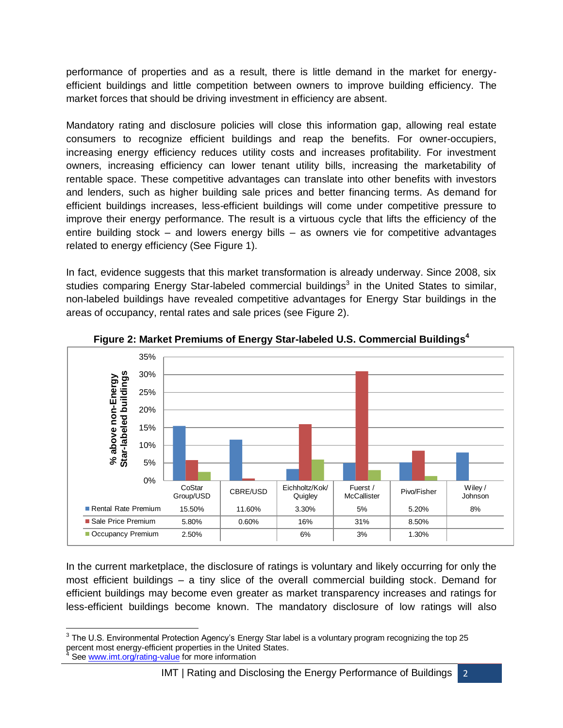performance of properties and as a result, there is little demand in the market for energyefficient buildings and little competition between owners to improve building efficiency. The market forces that should be driving investment in efficiency are absent.

Mandatory rating and disclosure policies will close this information gap, allowing real estate consumers to recognize efficient buildings and reap the benefits. For owner-occupiers, increasing energy efficiency reduces utility costs and increases profitability. For investment owners, increasing efficiency can lower tenant utility bills, increasing the marketability of rentable space. These competitive advantages can translate into other benefits with investors and lenders, such as higher building sale prices and better financing terms. As demand for efficient buildings increases, less-efficient buildings will come under competitive pressure to improve their energy performance. The result is a virtuous cycle that lifts the efficiency of the entire building stock – and lowers energy bills – as owners vie for competitive advantages related to energy efficiency (See Figure 1).

In fact, evidence suggests that this market transformation is already underway. Since 2008, six studies comparing Energy Star-labeled commercial buildings<sup>3</sup> in the United States to similar, non-labeled buildings have revealed competitive advantages for Energy Star buildings in the areas of occupancy, rental rates and sale prices (see Figure 2).



**Figure 2: Market Premiums of Energy Star-labeled U.S. Commercial Buildings<sup>4</sup>**

In the current marketplace, the disclosure of ratings is voluntary and likely occurring for only the most efficient buildings – a tiny slice of the overall commercial building stock. Demand for efficient buildings may become even greater as market transparency increases and ratings for less-efficient buildings become known. The mandatory disclosure of low ratings will also

<sup>————————————————————&</sup>lt;br><sup>3</sup> The U.S. Environmental Protection Agency's Energy Star label is a voluntary program recognizing the top 25 percent most energy-efficient properties in the United States. See [www.imt.org/rating-value](http://www.imt.org/rating-value) for more information